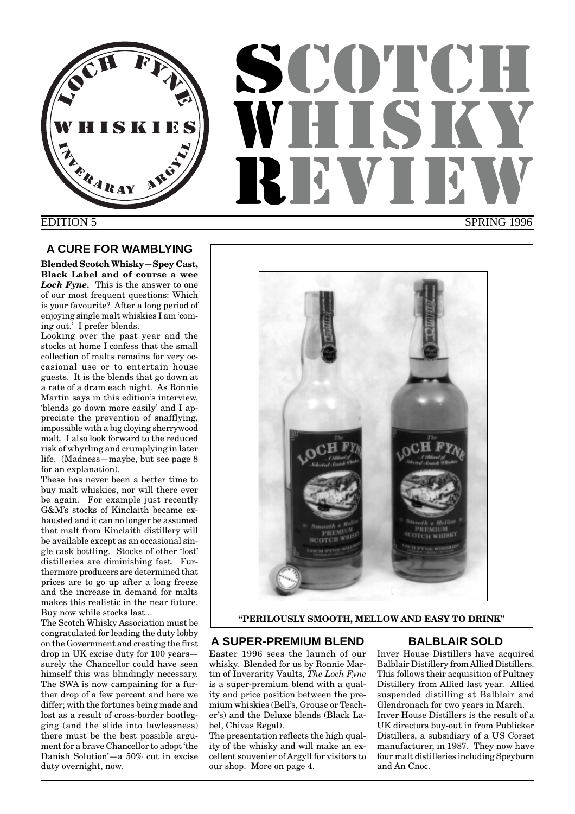

# **SCOTCH** WHUT REVIEW SPRING 1996

## EDITION 5

## **A CURE FOR WAMBLYING**

**Blended Scotch Whisky—Spey Cast, Black Label and of course a wee** *Loch Fyne.* This is the answer to one of our most frequent questions: Which is your favourite? After a long period of enjoying single malt whiskies I am 'coming out.' I prefer blends.

Looking over the past year and the stocks at home I confess that the small collection of malts remains for very occasional use or to entertain house guests. It is the blends that go down at a rate of a dram each night. As Ronnie Martin says in this edition's interview, 'blends go down more easily' and I appreciate the prevention of snafflying, impossible with a big cloying sherrywood malt. I also look forward to the reduced risk of whyrling and crumplying in later life. (Madness—maybe, but see page 8 for an explanation).

These has never been a better time to buy malt whiskies, nor will there ever be again. For example just recently G&M's stocks of Kinclaith became exhausted and it can no longer be assumed that malt from Kinclaith distillery will be available except as an occasional single cask bottling. Stocks of other 'lost' distilleries are diminishing fast. Furthermore producers are determined that prices are to go up after a long freeze and the increase in demand for malts makes this realistic in the near future. Buy now while stocks last...

The Scotch Whisky Association must be congratulated for leading the duty lobby on the Government and creating the first drop in UK excise duty for 100 years surely the Chancellor could have seen himself this was blindingly necessary. The SWA is now campaining for a further drop of a few percent and here we differ; with the fortunes being made and lost as a result of cross-border bootlegging (and the slide into lawlessness) there must be the best possible argument for a brave Chancellor to adopt 'the Danish Solution'—a 50% cut in excise duty overnight, now.



## **"PERILOUSLY SMOOTH, MELLOW AND EASY TO DRINK"**

## **A SUPER-PREMIUM BLEND**

Easter 1996 sees the launch of our whisky. Blended for us by Ronnie Martin of Inverarity Vaults, *The Loch Fyne* is a super-premium blend with a quality and price position between the premium whiskies (Bell's, Grouse or Teacher's) and the Deluxe blends (Black Label, Chivas Regal).

The presentation reflects the high quality of the whisky and will make an excellent souvenier of Argyll for visitors to our shop. More on page 4.

## **BALBLAIR SOLD**

Inver House Distillers have acquired Balblair Distillery from Allied Distillers. This follows their acquisition of Pultney Distillery from Allied last year. Allied suspended distilling at Balblair and Glendronach for two years in March. Inver House Distillers is the result of a UK directors buy-out in from Publicker Distillers, a subsidiary of a US Corset manufacturer, in 1987. They now have four malt distilleries including Speyburn and An Cnoc.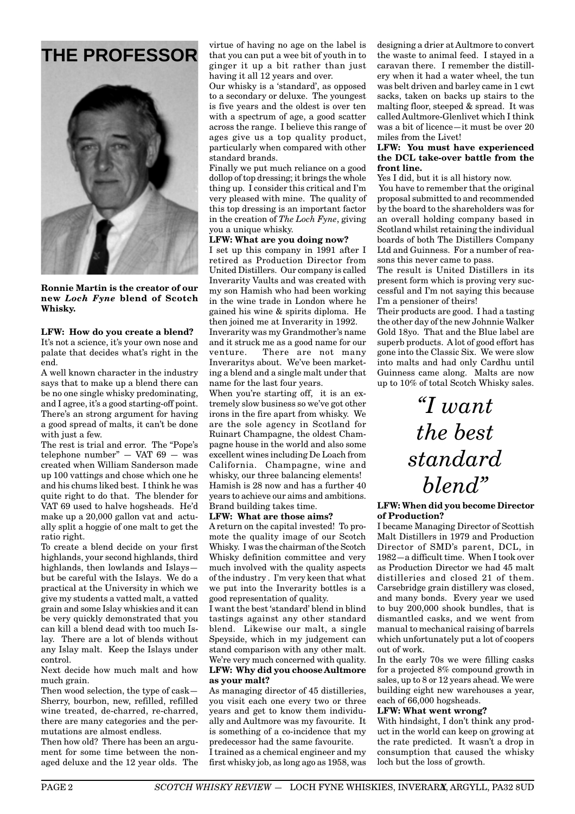

**Ronnie Martin is the creator of our new** *Loch Fyne* **blend of Scotch Whisky.**

**LFW: How do you create a blend?** It's not a science, it's your own nose and palate that decides what's right in the end.

A well known character in the industry says that to make up a blend there can be no one single whisky predominating, and I agree, it's a good starting-off point. There's an strong argument for having a good spread of malts, it can't be done with just a few.

The rest is trial and error. The "Pope's telephone number"  $-$  VAT 69  $-$  was created when William Sanderson made up 100 vattings and chose which one he and his chums liked best. I think he was quite right to do that. The blender for VAT 69 used to halve hogsheads. He'd make up a 20,000 gallon vat and actually split a hoggie of one malt to get the ratio right.

To create a blend decide on your first highlands, your second highlands, third highlands, then lowlands and Islays but be careful with the Islays. We do a practical at the University in which we give my students a vatted malt, a vatted grain and some Islay whiskies and it can be very quickly demonstrated that you can kill a blend dead with too much Islay. There are a lot of blends without any Islay malt. Keep the Islays under control.

Next decide how much malt and how much grain.

Then wood selection, the type of cask— Sherry, bourbon, new, refilled, refilled wine treated, de-charred, re-charred, there are many categories and the permutations are almost endless.

Then how old? There has been an argument for some time between the nonaged deluxe and the 12 year olds. The

**THE PROFESSOR** virtue of having no age on the label is that you can put a wee bit of youth in to ginger it up a bit rather than just having it all 12 years and over.

Our whisky is a 'standard', as opposed to a secondary or deluxe. The youngest is five years and the oldest is over ten with a spectrum of age, a good scatter across the range. I believe this range of ages give us a top quality product, particularly when compared with other standard brands.

Finally we put much reliance on a good dollop of top dressing; it brings the whole thing up. I consider this critical and I'm very pleased with mine. The quality of this top dressing is an important factor in the creation of *The Loch Fyne*, giving you a unique whisky.

## **LFW: What are you doing now?**

I set up this company in 1991 after I retired as Production Director from United Distillers. Our company is called Inverarity Vaults and was created with my son Hamish who had been working in the wine trade in London where he gained his wine & spirits diploma. He then joined me at Inverarity in 1992.

Inverarity was my Grandmother's name and it struck me as a good name for our venture. There are not many Inveraritys about. We've been marketing a blend and a single malt under that name for the last four years.

When you're starting off, it is an extremely slow business so we've got other irons in the fire apart from whisky. We are the sole agency in Scotland for Ruinart Champagne, the oldest Champagne house in the world and also some excellent wines including De Loach from California. Champagne, wine and whisky, our three balancing elements! Hamish is 28 now and has a further 40 years to achieve our aims and ambitions. Brand building takes time.

#### **LFW: What are those aims?**

A return on the capital invested! To promote the quality image of our Scotch Whisky. I was the chairman of the Scotch Whisky definition committee and very much involved with the quality aspects of the industry . I'm very keen that what we put into the Inverarity bottles is a good representation of quality.

I want the best 'standard' blend in blind tastings against any other standard blend. Likewise our malt, a single Speyside, which in my judgement can stand comparison with any other malt. We're very much concerned with quality.

## **LFW: Why did you choose Aultmore as your malt?**

As managing director of 45 distilleries, you visit each one every two or three years and get to know them individually and Aultmore was my favourite. It is something of a co-incidence that my predecessor had the same favourite. I trained as a chemical engineer and my first whisky job, as long ago as 1958, was

designing a drier at Aultmore to convert the waste to animal feed. I stayed in a caravan there. I remember the distillery when it had a water wheel, the tun was belt driven and barley came in 1 cwt sacks, taken on backs up stairs to the malting floor, steeped & spread. It was called Aultmore-Glenlivet which I think was a bit of licence—it must be over 20 miles from the Livet!

#### **LFW: You must have experienced the DCL take-over battle from the front line.**

Yes I did, but it is all history now.

You have to remember that the original proposal submitted to and recommended by the board to the shareholders was for an overall holding company based in Scotland whilst retaining the individual boards of both The Distillers Company Ltd and Guinness. For a number of reasons this never came to pass.

The result is United Distillers in its present form which is proving very successful and I'm not saying this because I'm a pensioner of theirs!

Their products are good. I had a tasting the other day of the new Johnnie Walker Gold 18yo. That and the Blue label are superb products. A lot of good effort has gone into the Classic Six. We were slow into malts and had only Cardhu until Guinness came along. Malts are now up to 10% of total Scotch Whisky sales.

> *"I want the best standard blend"*

**LFW: When did you become Director of Production?**

I became Managing Director of Scottish Malt Distillers in 1979 and Production Director of SMD's parent, DCL, in 1982—a difficult time. When I took over as Production Director we had 45 malt distilleries and closed 21 of them. Carsebridge grain distillery was closed, and many bonds. Every year we used to buy 200,000 shook bundles, that is dismantled casks, and we went from manual to mechanical raising of barrels which unfortunately put a lot of coopers out of work.

In the early 70s we were filling casks for a projected 8% compound growth in sales, up to 8 or 12 years ahead. We were building eight new warehouses a year, each of 66,000 hogsheads.

#### **LFW: What went wrong?**

With hindsight, I don't think any product in the world can keep on growing at the rate predicted. It wasn't a drop in consumption that caused the whisky loch but the loss of growth.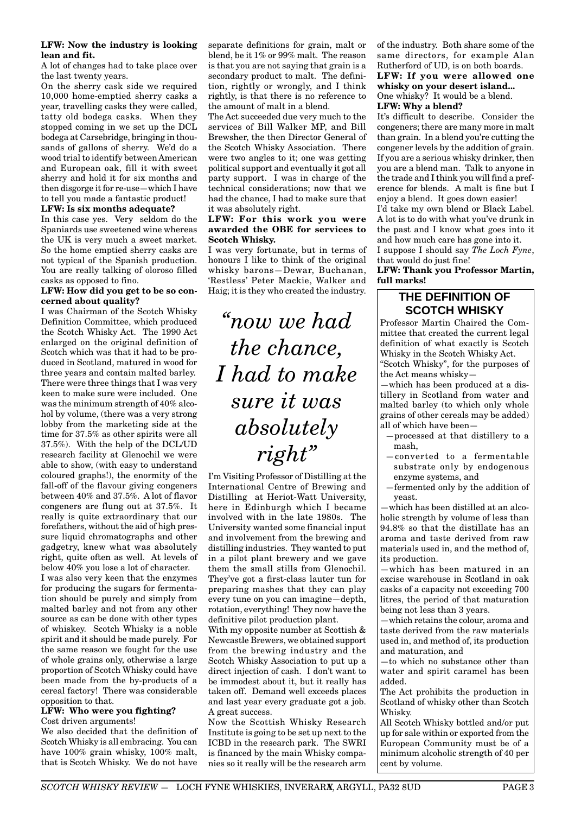#### **LFW: Now the industry is looking lean and fit.**

A lot of changes had to take place over the last twenty years.

On the sherry cask side we required 10,000 home-emptied sherry casks a year, travelling casks they were called, tatty old bodega casks. When they stopped coming in we set up the DCL bodega at Carsebridge, bringing in thousands of gallons of sherry. We'd do a wood trial to identify between American and European oak, fill it with sweet sherry and hold it for six months and then disgorge it for re-use—which I have to tell you made a fantastic product!

#### **LFW: Is six months adequate?**

In this case yes. Very seldom do the Spaniards use sweetened wine whereas the UK is very much a sweet market. So the home emptied sherry casks are not typical of the Spanish production. You are really talking of oloroso filled casks as opposed to fino.

#### **LFW: How did you get to be so concerned about quality?**

I was Chairman of the Scotch Whisky Definition Committee, which produced the Scotch Whisky Act. The 1990 Act enlarged on the original definition of Scotch which was that it had to be produced in Scotland, matured in wood for three years and contain malted barley. There were three things that I was very keen to make sure were included. One was the minimum strength of 40% alcohol by volume, (there was a very strong lobby from the marketing side at the time for 37.5% as other spirits were all 37.5%). With the help of the DCL/UD research facility at Glenochil we were able to show, (with easy to understand coloured graphs!), the enormity of the fall-off of the flavour giving congeners between 40% and 37.5%. A lot of flavor congeners are flung out at 37.5%. It really is quite extraordinary that our forefathers, without the aid of high pressure liquid chromatographs and other gadgetry, knew what was absolutely right, quite often as well. At levels of below 40% you lose a lot of character.

I was also very keen that the enzymes for producing the sugars for fermentation should be purely and simply from malted barley and not from any other source as can be done with other types of whiskey. Scotch Whisky is a noble spirit and it should be made purely. For the same reason we fought for the use of whole grains only, otherwise a large proportion of Scotch Whisky could have been made from the by-products of a cereal factory! There was considerable opposition to that.

#### **LFW: Who were you fighting?** Cost driven arguments!

We also decided that the definition of Scotch Whisky is all embracing. You can have 100% grain whisky, 100% malt, that is Scotch Whisky. We do not have

separate definitions for grain, malt or blend, be it 1% or 99% malt. The reason is that you are not saying that grain is a secondary product to malt. The definition, rightly or wrongly, and I think rightly, is that there is no reference to the amount of malt in a blend.

The Act succeeded due very much to the services of Bill Walker MP, and Bill Brewsher, the then Director General of the Scotch Whisky Association. There were two angles to it; one was getting political support and eventually it got all party support. I was in charge of the technical considerations; now that we had the chance, I had to make sure that it was absolutely right.

#### **LFW: For this work you were awarded the OBE for services to Scotch Whisky.**

I was very fortunate, but in terms of honours I like to think of the original whisky barons—Dewar, Buchanan, 'Restless' Peter Mackie, Walker and Haig; it is they who created the industry.

*"now we had the chance, I had to make sure it was absolutely right"*

I'm Visiting Professor of Distilling at the International Centre of Brewing and Distilling at Heriot-Watt University, here in Edinburgh which I became involved with in the late 1980s. The University wanted some financial input and involvement from the brewing and distilling industries. They wanted to put in a pilot plant brewery and we gave them the small stills from Glenochil. They've got a first-class lauter tun for preparing mashes that they can play every tune on you can imagine—depth, rotation, everything! They now have the definitive pilot production plant.

With my opposite number at Scottish & Newcastle Brewers, we obtained support from the brewing industry and the Scotch Whisky Association to put up a direct injection of cash. I don't want to be immodest about it, but it really has taken off. Demand well exceeds places and last year every graduate got a job. A great success.

Now the Scottish Whisky Research Institute is going to be set up next to the ICBD in the research park. The SWRI is financed by the main Whisky companies so it really will be the research arm

of the industry. Both share some of the same directors, for example Alan Rutherford of UD, is on both boards.

## **LFW: If you were allowed one whisky on your desert island...** One whisky? It would be a blend.

**LFW: Why a blend?**

It's difficult to describe. Consider the congeners; there are many more in malt than grain. In a blend you're cutting the congener levels by the addition of grain. If you are a serious whisky drinker, then you are a blend man. Talk to anyone in the trade and I think you will find a preference for blends. A malt is fine but I enjoy a blend. It goes down easier! I'd take my own blend or Black Label.

A lot is to do with what you've drunk in the past and I know what goes into it and how much care has gone into it.

I suppose I should say *The Loch Fyne*, that would do just fine!

**LFW: Thank you Professor Martin, full marks!**

## **THE DEFINITION OF SCOTCH WHISKY**

Professor Martin Chaired the Committee that created the current legal definition of what exactly is Scotch Whisky in the Scotch Whisky Act. "Scotch Whisky", for the purposes of the Act means whisky—

—which has been produced at a distillery in Scotland from water and malted barley (to which only whole grains of other cereals may be added) all of which have been—

- —processed at that distillery to a mash,
- —converted to a fermentable substrate only by endogenous enzyme systems, and
- —fermented only by the addition of yeast.

—which has been distilled at an alcoholic strength by volume of less than 94.8% so that the distillate has an aroma and taste derived from raw materials used in, and the method of, its production.

—which has been matured in an excise warehouse in Scotland in oak casks of a capacity not exceeding 700 litres, the period of that maturation being not less than 3 years.

—which retains the colour, aroma and taste derived from the raw materials used in, and method of, its production and maturation, and

—to which no substance other than water and spirit caramel has been added.

The Act prohibits the production in Scotland of whisky other than Scotch Whisky.

All Scotch Whisky bottled and/or put up for sale within or exported from the European Community must be of a minimum alcoholic strength of 40 per cent by volume.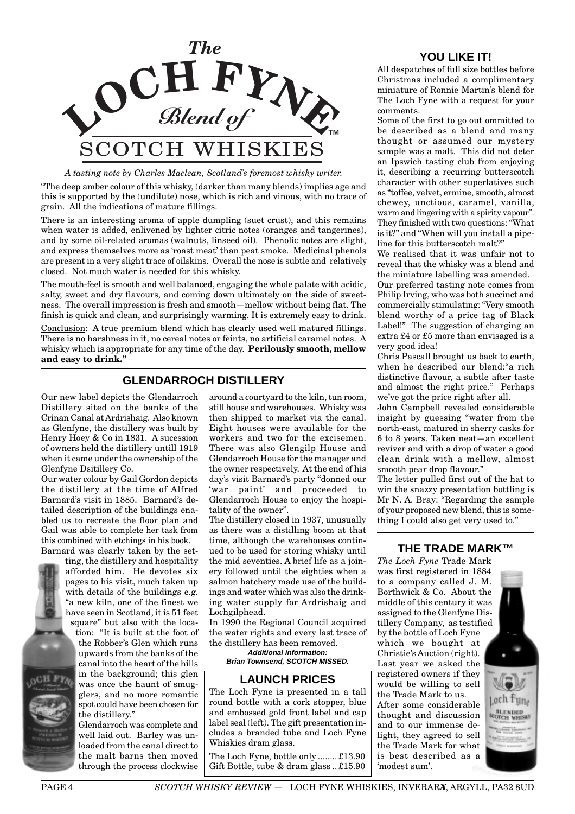

## *A tasting note by Charles Maclean, Scotland's foremost whisky writer.*

"The deep amber colour of this whisky, (darker than many blends) implies age and this is supported by the (undilute) nose, which is rich and vinous, with no trace of grain. All the indications of mature fillings.

There is an interesting aroma of apple dumpling (suet crust), and this remains when water is added, enlivened by lighter citric notes (oranges and tangerines), and by some oil-related aromas (walnuts, linseed oil). Phenolic notes are slight, and express themselves more as 'roast meat' than peat smoke. Medicinal phenols are present in a very slight trace of oilskins. Overall the nose is subtle and relatively closed. Not much water is needed for this whisky.

The mouth-feel is smooth and well balanced, engaging the whole palate with acidic, salty, sweet and dry flavours, and coming down ultimately on the side of sweetness. The overall impression is fresh and smooth—mellow without being flat. The finish is quick and clean, and surprisingly warming. It is extremely easy to drink.

Conclusion: A true premium blend which has clearly used well matured fillings. There is no harshness in it, no cereal notes or feints, no artificial caramel notes. A whisky which is appropriate for any time of the day. **Perilously smooth, mellow and easy to drink."**

## **GLENDARROCH DISTILLERY**

Our new label depicts the Glendarroch Distillery sited on the banks of the Crinan Canal at Ardrishaig. Also known as Glenfyne, the distillery was built by Henry Hoey & Co in 1831. A sucession of owners held the distillery untill 1919 when it came under the ownership of the Glenfyne Dsitillery Co.

Our water colour by Gail Gordon depicts the distillery at the time of Alfred Barnard's visit in 1885. Barnard's detailed description of the buildings enabled us to recreate the floor plan and Gail was able to complete her task from this combined with etchings in his book. Barnard was clearly taken by the set-

ting, the distillery and hospitality afforded him. He devotes six pages to his visit, much taken up with details of the buildings e.g. "a new kiln, one of the finest we have seen in Scotland, it is 51 feet square" but also with the loca-

tion: "It is built at the foot of the Robber's Glen which runs upwards from the banks of the canal into the heart of the hills in the background; this glen was once the haunt of smugglers, and no more romantic spot could have been chosen for the distillery."

Glendarroch was complete and well laid out. Barley was unloaded from the canal direct to the malt barns then moved through the process clockwise around a courtyard to the kiln, tun room, still house and warehouses. Whisky was then shipped to market via the canal. Eight houses were available for the workers and two for the excisemen. There was also Glengilp House and Glendarroch House for the manager and the owner respectively. At the end of his day's visit Barnard's party "donned our 'war paint' and proceeded to Glendarroch House to enjoy the hospitality of the owner".

The distillery closed in 1937, unusually as there was a distilling boom at that time, although the warehouses continued to be used for storing whisky until the mid seventies. A brief life as a joinery followed until the eighties when a salmon hatchery made use of the buildings and water which was also the drinking water supply for Ardrishaig and Lochgilphead.

In 1990 the Regional Council acquired the water rights and every last trace of the distillery has been removed.

**Additional information: Brian Townsend, SCOTCH MISSED.**

## **LAUNCH PRICES**

The Loch Fyne is presented in a tall round bottle with a cork stopper, blue and embossed gold front label and cap label seal (left). The gift presentation includes a branded tube and Loch Fyne Whiskies dram glass.

The Loch Fyne, bottle only ........ £13.90 Gift Bottle, tube & dram glass .. £15.90

## **YOU LIKE IT!**

All despatches of full size bottles before Christmas included a complimentary miniature of Ronnie Martin's blend for The Loch Fyne with a request for your comments.

Some of the first to go out ommitted to be described as a blend and many thought or assumed our mystery sample was a malt. This did not deter an Ipswich tasting club from enjoying it, describing a recurring butterscotch character with other superlatives such as "toffee, velvet, ermine, smooth, almost chewey, unctious, caramel, vanilla, warm and lingering with a spirity vapour". They finished with two questions: "What is it?" and "When will you install a pipeline for this butterscotch malt?"

We realised that it was unfair not to reveal that the whisky was a blend and the miniature labelling was amended.

Our preferred tasting note comes from Philip Irving, who was both succinct and commercially stimulating: "Very smooth blend worthy of a price tag of Black Label!" The suggestion of charging an extra £4 or £5 more than envisaged is a very good idea!

Chris Pascall brought us back to earth, when he described our blend:"a rich distinctive flavour, a subtle after taste and almost the right price." Perhaps we've got the price right after all.

John Campbell revealed considerable insight by guessing "water from the north-east, matured in sherry casks for 6 to 8 years. Taken neat—an excellent reviver and with a drop of water a good clean drink with a mellow, almost smooth pear drop flavour."

The letter pulled first out of the hat to win the snazzy presentation bottling is Mr N. A. Bray: "Regarding the sample of your proposed new blend, this is something I could also get very used to."

## **THE TRADE MARK™**

*The Loch Fyne* Trade Mark was first registered in 1884 to a company called J. M. Borthwick & Co. About the middle of this century it was assigned to the Glenfyne Distillery Company, as testified by the bottle of Loch Fyne which we bought at Christie's Auction (right). Last year we asked the registered owners if they would be willing to sell the Trade Mark to us. After some considerable thought and discussion and to our immense delight, they agreed to sell the Trade Mark for what is best described as a 'modest sum'.

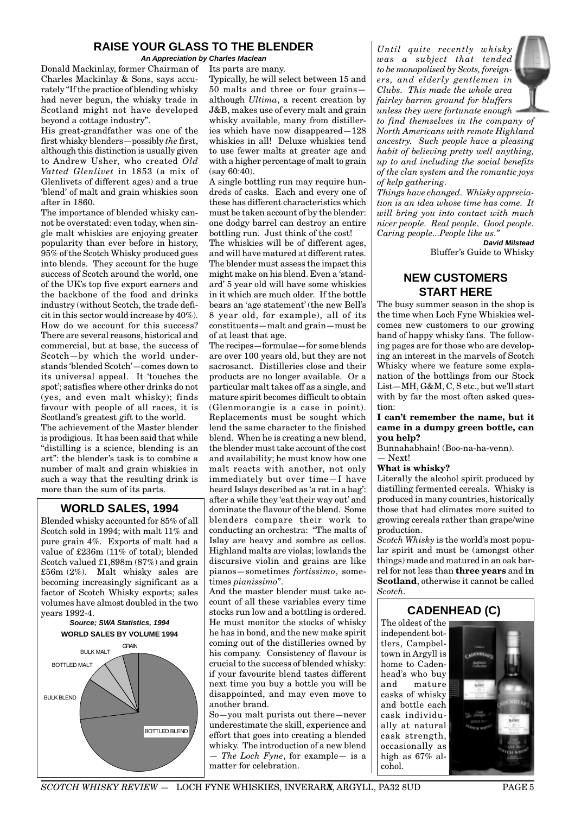## **RAISE YOUR GLASS TO THE BLENDER**

**An Appreciation by Charles Maclean**

Donald Mackinlay, former Chairman of Charles Mackinlay & Sons, says accurately "If the practice of blending whisky had never begun, the whisky trade in Scotland might not have developed beyond a cottage industry".

His great-grandfather was one of the first whisky blenders—possibly *the* first, although this distinction is usually given to Andrew Usher, who created *Old Vatted Glenlivet* in 1853 (a mix of Glenlivets of different ages) and a true 'blend' of malt and grain whiskies soon after in 1860.

The importance of blended whisky cannot be overstated: even today, when single malt whiskies are enjoying greater popularity than ever before in history, 95% of the Scotch Whisky produced goes into blends. They account for the huge success of Scotch around the world, one of the UK's top five export earners and the backbone of the food and drinks industry (without Scotch, the trade deficit in this sector would increase by 40%). How do we account for this success? There are several reasons, historical and commercial, but at base, the success of Scotch—by which the world understands 'blended Scotch'—comes down to its universal appeal. It 'touches the spot'; satisfies where other drinks do not (yes, and even malt whisky); finds favour with people of all races, it is Scotland's greatest gift to the world.

The achievement of the Master blender is prodigious. It has been said that while "distilling is a science, blending is an art": the blender's task is to combine a number of malt and grain whiskies in such a way that the resulting drink is more than the sum of its parts.

## **WORLD SALES, 1994**

Blended whisky accounted for 85% of all Scotch sold in 1994; with malt 11% and pure grain 4%. Exports of malt had a value of £236m (11% of total); blended Scotch valued £1,898m (87%) and grain £56m (2%). Malt whisky sales are becoming increasingly significant as a factor of Scotch Whisky exports; sales volumes have almost doubled in the two years 1992-4.



Its parts are many.

Typically, he will select between 15 and 50 malts and three or four grains although *Ultima*, a recent creation by J&B, makes use of every malt and grain whisky available, many from distilleries which have now disappeared—128 whiskies in all! Deluxe whiskies tend to use fewer malts at greater age and with a higher percentage of malt to grain  $(sav 60.40)$ 

A single bottling run may require hundreds of casks. Each and every one of these has different characteristics which must be taken account of by the blender: one dodgy barrel can destroy an entire bottling run. Just think of the cost!

The whiskies will be of different ages, and will have matured at different rates. The blender must assess the impact this might make on his blend. Even a 'standard' 5 year old will have some whiskies in it which are much older. If the bottle bears an 'age statement' (the new Bell's 8 year old, for example), all of its constituents—malt and grain—must be of at least that age.

The recipes—formulae—for some blends are over 100 years old, but they are not sacrosanct. Distilleries close and their products are no longer available. Or a particular malt takes off as a single, and mature spirit becomes difficult to obtain (Glenmorangie is a case in point). Replacements must be sought which lend the same character to the finished blend. When he is creating a new blend, the blender must take account of the cost and availability; he must know how one malt reacts with another, not only immediately but over time—I have heard Islays described as 'a rat in a bag': after a while they 'eat their way out' and dominate the flavour of the blend. Some blenders compare their work to conducting an orchestra: "The malts of Islay are heavy and sombre as cellos. Highland malts are violas; lowlands the discursive violin and grains are like pianos—sometimes *fortissimo*, sometimes *pianissimo*".

And the master blender must take account of all these variables every time stocks run low and a bottling is ordered. He must monitor the stocks of whisky he has in bond, and the new make spirit coming out of the distilleries owned by his company. Consistency of flavour is crucial to the success of blended whisky: if your favourite blend tastes different next time you buy a bottle you will be disappointed, and may even move to another brand.

So—you malt purists out there—never underestimate the skill, experience and effort that goes into creating a blended whisky. The introduction of a new blend — *The Loch Fyne*, for example— is a matter for celebration.

*Until quite recently whisky was a subject that tended to be monopolised by Scots, foreigners, and elderly gentlemen in Clubs. This made the whole area fairley barren ground for bluffers unless they were fortunate enough*



*to find themselves in the company of North Americans with remote Highland ancestry. Such people have a pleasing habit of believing pretty well anything, up to and including the social benefits of the clan system and the romantic joys of kelp gathering.*

*Things have changed. Whisky appreciation is an idea whose time has come. It will bring you into contact with much nicer people. Real people. Good people. Caring people...People like us."*

**David Milstead** Bluffer's Guide to Whisky

## **NEW CUSTOMERS START HERE**

The busy summer season in the shop is the time when Loch Fyne Whiskies welcomes new customers to our growing band of happy whisky fans. The following pages are for those who are developing an interest in the marvels of Scotch Whisky where we feature some explanation of the bottlings from our Stock List—MH, G&M, C, S etc., but we'll start with by far the most often asked question:

#### **I can't remember the name, but it came in a dumpy green bottle, can you help?**

Bunnahabhain! (Boo-na-ha-venn).

— Next! **What is whisky?**

Literally the alcohol spirit produced by distilling fermented cereals. Whisky is produced in many countries, historically those that had climates more suited to growing cereals rather than grape/wine production.

*Scotch Whisky* is the world's most popular spirit and must be (amongst other things) made and matured in an oak barrel for not less than **three years** and **in Scotland**, otherwise it cannot be called *Scotch.*

## **CADENHEAD (C)**

The oldest of the independent bottlers, Campbeltown in Argyll is home to Cadenhead's who buy and mature casks of whisky and bottle each cask individually at natural cask strength, occasionally as high as 67% alcohol.

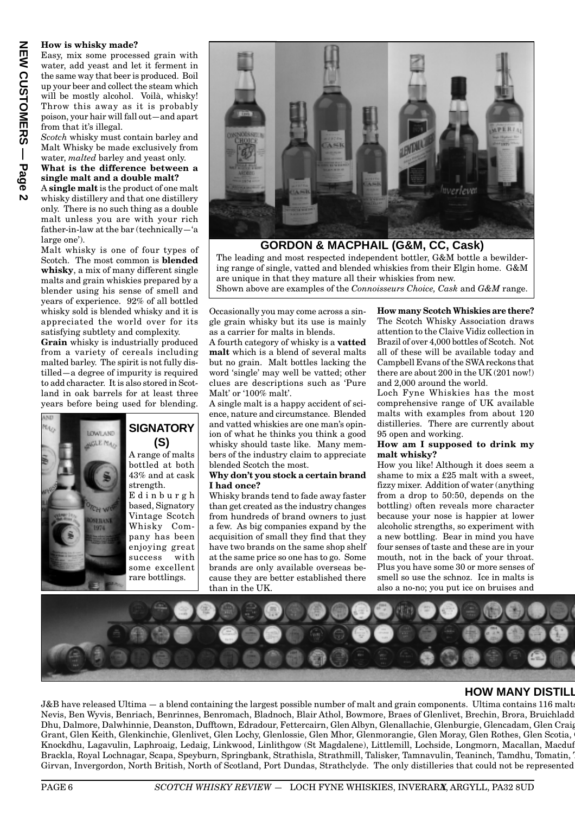### **How is whisky made?**

Easy, mix some processed grain with water, add yeast and let it ferment in the same way that beer is produced. Boil up your beer and collect the steam which will be mostly alcohol. Voilà, whisky! Throw this away as it is probably poison, your hair will fall out—and apart from that it's illegal.

*Scotch* whisky must contain barley and Malt Whisky be made exclusively from water, *malted* barley and yeast only.

#### **What is the difference between a single malt and a double malt?**

A **single malt** is the product of one malt whisky distillery and that one distillery only. There is no such thing as a double malt unless you are with your rich father-in-law at the bar (technically—'a large one').

Malt whisky is one of four types of Scotch. The most common is **blended whisky**, a mix of many different single malts and grain whiskies prepared by a blender using his sense of smell and years of experience. 92% of all bottled whisky sold is blended whisky and it is appreciated the world over for its satisfying subtlety and complexity.

**Grain** whisky is industrially produced from a variety of cereals including malted barley. The spirit is not fully distilled—a degree of impurity is required to add character. It is also stored in Scotland in oak barrels for at least three years before being used for blending.



## **SIGNATORY (S)**

A range of malts bottled at both 43% and at cask strength. Edinburgh based, Signatory Vintage Scotch Whisky Company has been enjoying great success with some excellent rare bottlings.



**GORDON & MACPHAIL (G&M, CC, Cask)**

The leading and most respected independent bottler, G&M bottle a bewildering range of single, vatted and blended whiskies from their Elgin home. G&M are unique in that they mature all their whiskies from new.

Shown above are examples of the *Connoisseurs Choice, Cask* and *G&M* range.

Occasionally you may come across a single grain whisky but its use is mainly as a carrier for malts in blends.

A fourth category of whisky is a **vatted malt** which is a blend of several malts but no grain. Malt bottles lacking the word 'single' may well be vatted; other clues are descriptions such as 'Pure Malt' or '100% malt'.

A single malt is a happy accident of science, nature and circumstance. Blended and vatted whiskies are one man's opinion of what he thinks you think a good whisky should taste like. Many members of the industry claim to appreciate blended Scotch the most.

#### **Why don't you stock a certain brand I had once?**

Whisky brands tend to fade away faster than get created as the industry changes from hundreds of brand owners to just a few. As big companies expand by the acquisition of small they find that they have two brands on the same shop shelf at the same price so one has to go. Some brands are only available overseas because they are better established there than in the UK.

**How many Scotch Whiskies are there?**

The Scotch Whisky Association draws attention to the Claive Vidiz collection in Brazil of over 4,000 bottles of Scotch. Not all of these will be available today and Campbell Evans of the SWA reckons that there are about 200 in the UK (201 now!) and 2,000 around the world.

Loch Fyne Whiskies has the most comprehensive range of UK available malts with examples from about 120 distilleries. There are currently about 95 open and working.

#### **How am I supposed to drink my malt whisky?**

How you like! Although it does seem a shame to mix a £25 malt with a sweet, fizzy mixer. Addition of water (anything from a drop to 50:50, depends on the bottling) often reveals more character because your nose is happier at lower alcoholic strengths, so experiment with a new bottling. Bear in mind you have four senses of taste and these are in your mouth, not in the back of your throat. Plus you have some 30 or more senses of smell so use the schnoz. Ice in malts is also a no-no; you put ice on bruises and



## **HOW MANY DISTILL**

J&B have released Ultima — a blend containing the largest possible number of malt and grain components. Ultima contains 116 malts Nevis, Ben Wyvis, Benriach, Benrinnes, Benromach, Bladnoch, Blair Athol, Bowmore, Braes of Glenlivet, Brechin, Brora, Bruichladdi Dhu, Dalmore, Dalwhinnie, Deanston, Dufftown, Edradour, Fettercairn, Glen Albyn, Glenallachie, Glenburgie, Glencadam, Glen Craig Grant, Glen Keith, Glenkinchie, Glenlivet, Glen Lochy, Glenlossie, Glen Mhor, Glenmorangie, Glen Moray, Glen Rothes, Glen Scotia, G Knockdhu, Lagavulin, Laphroaig, Ledaig, Linkwood, Linlithgow (St Magdalene), Littlemill, Lochside, Longmorn, Macallan, Macduff Brackla, Royal Lochnagar, Scapa, Speyburn, Springbank, Strathisla, Strathmill, Talisker, Tamnavulin, Teaninch, Tamdhu, Tomatin, T Girvan, Invergordon, North British, North of Scotland, Port Dundas, Strathclyde. The only distilleries that could not be represented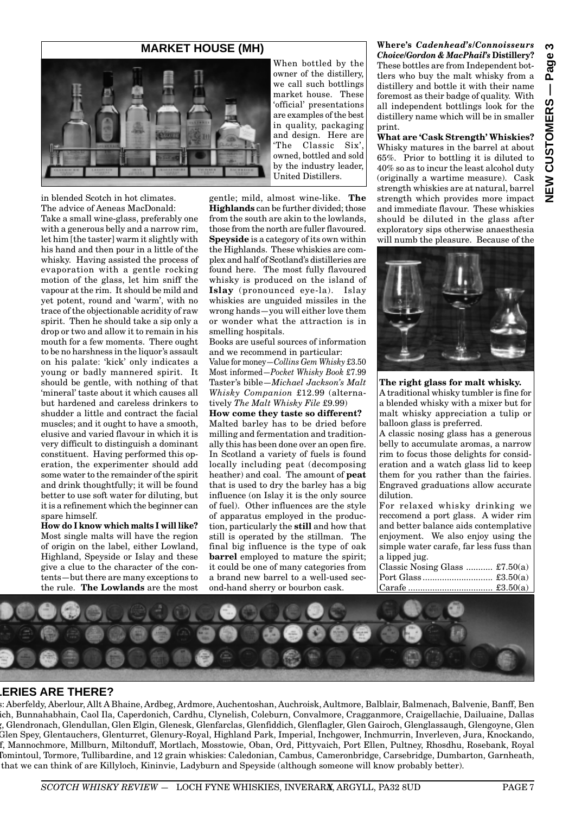## **MARKET HOUSE (MH)**



in blended Scotch in hot climates. The advice of Aeneas MacDonald:

Take a small wine-glass, preferably one with a generous belly and a narrow rim, let him [the taster] warm it slightly with his hand and then pour in a little of the whisky. Having assisted the process of evaporation with a gentle rocking motion of the glass, let him sniff the vapour at the rim. It should be mild and yet potent, round and 'warm', with no trace of the objectionable acridity of raw spirit. Then he should take a sip only a drop or two and allow it to remain in his mouth for a few moments. There ought to be no harshness in the liquor's assault on his palate: 'kick' only indicates a young or badly mannered spirit. It should be gentle, with nothing of that 'mineral' taste about it which causes all but hardened and careless drinkers to shudder a little and contract the facial muscles; and it ought to have a smooth, elusive and varied flavour in which it is very difficult to distinguish a dominant constituent. Having performed this operation, the experimenter should add some water to the remainder of the spirit and drink thoughtfully; it will be found better to use soft water for diluting, but it is a refinement which the beginner can spare himself.

**How do I know which malts I will like?** Most single malts will have the region of origin on the label, either Lowland, Highland, Speyside or Islay and these give a clue to the character of the contents—but there are many exceptions to the rule. **The Lowlands** are the most

When bottled by the owner of the distillery, we call such bottlings market house. These 'official' presentations are examples of the best in quality, packaging and design. Here are 'The Classic Six', owned, bottled and sold by the industry leader, United Distillers.

gentle; mild, almost wine-like. **The Highlands** can be further divided; those from the south are akin to the lowlands, those from the north are fuller flavoured. **Speyside** is a category of its own within the Highlands. These whiskies are complex and half of Scotland's distilleries are found here. The most fully flavoured whisky is produced on the island of **Islay** (pronounced eye-la). Islay whiskies are unguided missiles in the wrong hands—you will either love them or wonder what the attraction is in smelling hospitals.

Books are useful sources of information and we recommend in particular:

Value for money—*Collins Gem Whisky* £3.50 Most informed—*Pocket Whisky Book* £7.99 Taster's bible—*Michael Jackson's Malt Whisky Companion* £12.99 (alternatively *The Malt Whisky File* £9.99)

**How come they taste so different?** Malted barley has to be dried before milling and fermentation and traditionally this has been done over an open fire. In Scotland a variety of fuels is found locally including peat (decomposing heather) and coal. The amount of **peat** that is used to dry the barley has a big influence (on Islay it is the only source of fuel). Other influences are the style of apparatus employed in the production, particularly the **still** and how that still is operated by the stillman. The final big influence is the type of oak **barrel** employed to mature the spirit: it could be one of many categories from a brand new barrel to a well-used second-hand sherry or bourbon cask.

**Where's** *Cadenhead's/Connoisseurs Choice/Gordon & MacPhail's* **Distillery?** These bottles are from Independent bottlers who buy the malt whisky from a distillery and bottle it with their name foremost as their badge of quality. With all independent bottlings look for the distillery name which will be in smaller print.

**What are 'Cask Strength' Whiskies?** Whisky matures in the barrel at about 65%. Prior to bottling it is diluted to 40% so as to incur the least alcohol duty (originally a wartime measure). Cask strength whiskies are at natural, barrel strength which provides more impact and immediate flavour. These whiskies should be diluted in the glass after exploratory sips otherwise anaesthesia will numb the pleasure. Because of the



**The right glass for malt whisky.**

A traditional whisky tumbler is fine for a blended whisky with a mixer but for malt whisky appreciation a tulip or balloon glass is preferred.

A classic nosing glass has a generous belly to accumulate aromas, a narrow rim to focus those delights for consideration and a watch glass lid to keep them for you rather than the fairies. Engraved graduations allow accurate dilution.

For relaxed whisky drinking we reccomend a port glass. A wider rim and better balance aids contemplative enjoyment. We also enjoy using the simple water carafe, far less fuss than a lipped jug.

| Classic Nosing Glass $\pounds 7.50(a)$ |  |
|----------------------------------------|--|
|                                        |  |
|                                        |  |
|                                        |  |



## **LERIES ARE THERE?**

s: Aberfeldy, Aberlour, Allt A Bhaine, Ardbeg, Ardmore, Auchentoshan, Auchroisk, Aultmore, Balblair, Balmenach, Balvenie, Banff, Ben ich, Bunnahabhain, Caol Ila, Caperdonich, Cardhu, Clynelish, Coleburn, Convalmore, Cragganmore, Craigellachie, Dailuaine, Dallas g, Glendronach, Glendullan, Glen Elgin, Glenesk, Glenfarclas, Glenfiddich, Glenflagler, Glen Gairoch, Glenglassaugh, Glengoyne, Glen Glen Spey, Glentauchers, Glenturret, Glenury-Royal, Highland Park, Imperial, Inchgower, Inchmurrin, Inverleven, Jura, Knockando, ff, Mannochmore, Millburn, Miltonduff, Mortlach, Mosstowie, Oban, Ord, Pittyvaich, Port Ellen, Pultney, Rhosdhu, Rosebank, Royal Tomintoul, Tormore, Tullibardine, and 12 grain whiskies: Caledonian, Cambus, Cameronbridge, Carsebridge, Dumbarton, Garnheath, that we can think of are Killyloch, Kininvie, Ladyburn and Speyside (although someone will know probably better).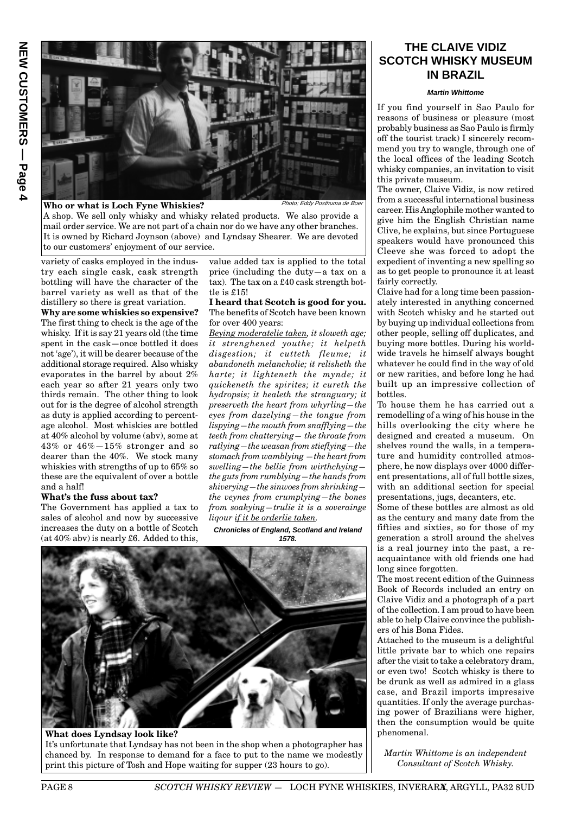

#### **Who or what is Loch Fyne Whiskies?**

Photo; Eddy Posthuma de Boe

A shop. We sell only whisky and whisky related products. We also provide a mail order service. We are not part of a chain nor do we have any other branches. It is owned by Richard Joynson (above) and Lyndsay Shearer. We are devoted to our customers' enjoyment of our service.

variety of casks employed in the industry each single cask, cask strength bottling will have the character of the barrel variety as well as that of the distillery so there is great variation.

**Why are some whiskies so expensive?** The first thing to check is the age of the whisky. If it is say 21 years old (the time spent in the cask—once bottled it does not 'age'), it will be dearer because of the additional storage required. Also whisky evaporates in the barrel by about 2% each year so after 21 years only two thirds remain. The other thing to look out for is the degree of alcohol strength as duty is applied according to percentage alcohol. Most whiskies are bottled at 40% alcohol by volume (abv), some at 43% or 46%—15% stronger and so dearer than the 40%. We stock many whiskies with strengths of up to 65% so these are the equivalent of over a bottle and a half!

#### **What's the fuss about tax?**

The Government has applied a tax to sales of alcohol and now by successive increases the duty on a bottle of Scotch  $(at 40\%$  abv) is nearly £6. Added to this,

value added tax is applied to the total price (including the duty—a tax on a tax). The tax on a £40 cask strength bottle is £15!

**I heard that Scotch is good for you.** The benefits of Scotch have been known for over 400 years:

*Beying moderatelie taken, it sloweth age; it strenghened youthe; it helpeth disgestion; it cutteth fleume; it abandoneth melancholie; it relisheth the harte; it lighteneth the mynde; it quickeneth the spirites; it cureth the hydropsis; it healeth the stranguary; it preserveth the heart from whyrling—the eyes from dazelying—the tongue from lispying—the mouth from snafflying—the teeth from chatterying— the throate from ratlying—the weasan from stieflying—the stomach from wamblying —the heart from swelling—the bellie from wirthchying the guts from rumblying—the hands from shiverying—the sinwoes from shrinking the veynes from crumplying—the bones from soakying—trulie it is a soverainge liqour if it be orderlie taken.*

#### **Chronicles of England, Scotland and Ireland 1578.**



## **What does Lyndsay look like?** It's unfortunate that Lyndsay has not been in the shop when a photographer has chanced by. In response to demand for a face to put to the name we modestly print this picture of Tosh and Hope waiting for supper (23 hours to go).

## **THE CLAIVE VIDIZ SCOTCH WHISKY MUSEUM IN BRAZIL**

#### **Martin Whittome**

If you find yourself in Sao Paulo for reasons of business or pleasure (most probably business as Sao Paulo is firmly off the tourist track) I sincerely recommend you try to wangle, through one of the local offices of the leading Scotch whisky companies, an invitation to visit this private museum.

The owner, Claive Vidiz, is now retired from a successful international business career. His Anglophile mother wanted to give him the English Christian name Clive, he explains, but since Portuguese speakers would have pronounced this Cleeve she was forced to adopt the expedient of inventing a new spelling so as to get people to pronounce it at least fairly correctly.

Claive had for a long time been passionately interested in anything concerned with Scotch whisky and he started out by buying up individual collections from other people, selling off duplicates, and buying more bottles. During his worldwide travels he himself always bought whatever he could find in the way of old or new rarities, and before long he had built up an impressive collection of bottles.

To house them he has carried out a remodelling of a wing of his house in the hills overlooking the city where he designed and created a museum. On shelves round the walls, in a temperature and humidity controlled atmosphere, he now displays over 4000 different presentations, all of full bottle sizes, with an additional section for special presentations, jugs, decanters, etc.

Some of these bottles are almost as old as the century and many date from the fifties and sixties, so for those of my generation a stroll around the shelves is a real journey into the past, a reacquaintance with old friends one had long since forgotten.

The most recent edition of the Guinness Book of Records included an entry on Claive Vidiz and a photograph of a part of the collection. I am proud to have been able to help Claive convince the publishers of his Bona Fides.

Attached to the museum is a delightful little private bar to which one repairs after the visit to take a celebratory dram, or even two! Scotch whisky is there to be drunk as well as admired in a glass case, and Brazil imports impressive quantities. If only the average purchasing power of Brazilians were higher, then the consumption would be quite phenomenal.

*Martin Whittome is an independent Consultant of Scotch Whisky.*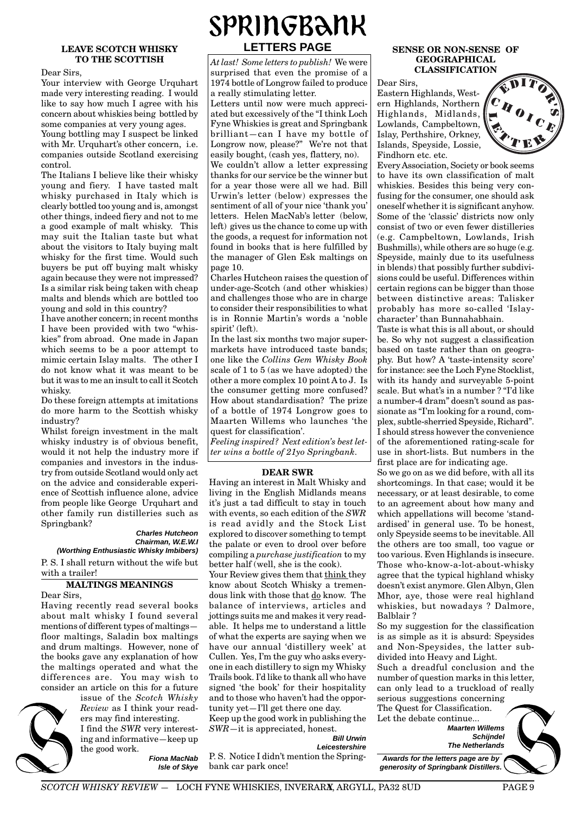## **LEAVE SCOTCH WHISKY TO THE SCOTTISH**

Dear Sirs,

Your interview with George Urquhart made very interesting reading. I would like to say how much I agree with his concern about whiskies being bottled by some companies at very young ages.

Young bottling may I suspect be linked with Mr. Urquhart's other concern, i.e. companies outside Scotland exercising control.

The Italians I believe like their whisky young and fiery. I have tasted malt whisky purchased in Italy which is clearly bottled too young and is, amongst other things, indeed fiery and not to me a good example of malt whisky. This may suit the Italian taste but what about the visitors to Italy buying malt whisky for the first time. Would such buyers be put off buying malt whisky again because they were not impressed? Is a similar risk being taken with cheap malts and blends which are bottled too young and sold in this country?

I have another concern; in recent months I have been provided with two "whiskies" from abroad. One made in Japan which seems to be a poor attempt to mimic certain Islay malts. The other I do not know what it was meant to be but it was to me an insult to call it Scotch whisky.

Do these foreign attempts at imitations do more harm to the Scottish whisky industry?

Whilst foreign investment in the malt whisky industry is of obvious benefit. would it not help the industry more if companies and investors in the industry from outside Scotland would only act on the advice and considerable experience of Scottish influence alone, advice from people like George Urquhart and other family run distilleries such as Springbank?

#### **Charles Hutcheon Chairman, W.E.W.I (Worthing Enthusiastic Whisky Imbibers)**

P. S. I shall return without the wife but with a trailer!

## **MALTINGS MEANINGS**

Dear Sirs,

Having recently read several books about malt whisky I found several mentions of different types of maltings floor maltings, Saladin box maltings and drum maltings. However, none of the books gave any explanation of how the maltings operated and what the differences are. You may wish to consider an article on this for a future

#### issue of the *Scotch Whisky Review* as I think your readers may find interesting. I find the *SWR* very interest-

ing and informative—keep up the good work.

**Fiona MacNab Isle of Skye**

## SPRINGBANK **LETTERS PAGE**

*At last! Some letters to publish!* We were surprised that even the promise of a 1974 bottle of Longrow failed to produce a really stimulating letter.

Letters until now were much appreciated but excessively of the "I think Loch Fyne Whiskies is great and Springbank brilliant—can I have my bottle of Longrow now, please?" We're not that easily bought, (cash yes, flattery, no).

We couldn't allow a letter expressing thanks for our service be the winner but for a year those were all we had. Bill Urwin's letter (below) expresses the sentiment of all of your nice 'thank you' letters. Helen MacNab's letter (below, left) gives us the chance to come up with the goods, a request for information not found in books that is here fulfilled by the manager of Glen Esk maltings on page 10.

Charles Hutcheon raises the question of under-age-Scotch (and other whiskies) and challenges those who are in charge to consider their responsibilities to what is in Ronnie Martin's words a 'noble spirit' (left).

In the last six months two major supermarkets have introduced taste bands; one like the *Collins Gem Whisky Book* scale of 1 to 5 (as we have adopted) the other a more complex 10 point A to J. Is the consumer getting more confused? How about standardisation? The prize of a bottle of 1974 Longrow goes to Maarten Willems who launches 'the quest for classification'.

*Feeling inspired? Next edition's best letter wins a bottle of 21yo Springbank.*

#### **DEAR SWR**

Having an interest in Malt Whisky and living in the English Midlands means it's just a tad difficult to stay in touch with events, so each edition of the *SWR* is read avidly and the Stock List explored to discover something to tempt the palate or even to drool over before compiling a *purchase justification* to my better half (well, she is the cook).

Your Review gives them that think they know about Scotch Whisky a tremendous link with those that do know. The balance of interviews, articles and jottings suits me and makes it very readable. It helps me to understand a little of what the experts are saying when we have our annual 'distillery week' at Cullen. Yes, I'm the guy who asks everyone in each distillery to sign my Whisky Trails book. I'd like to thank all who have signed 'the book' for their hospitality and to those who haven't had the opportunity yet—I'll get there one day.

Keep up the good work in publishing the *SWR*—it is appreciated, honest.

**Bill Urwin**

**Leicestershire** P. S. Notice I didn't mention the Springbank car park once!

#### **SENSE OR NON-SENSE OF GEOGRAPHICAL CLASSIFICATION**

Dear Sirs, Eastern Highlands, Western Highlands, Northern Highlands, Midlands, Lowlands, Campbeltown, Islay, Perthshire, Orkney, Islands, Speyside, Lossie, Findhorn etc. etc.



Every Association, Society or book seems to have its own classification of malt whiskies. Besides this being very confusing for the consumer, one should ask oneself whether it is significant anyhow. Some of the 'classic' districts now only consist of two or even fewer distilleries (e.g. Campbeltown, Lowlands, Irish Bushmills), while others are so huge (e.g. Speyside, mainly due to its usefulness in blends) that possibly further subdivisions could be useful. Differences within certain regions can be bigger than those between distinctive areas: Talisker probably has more so-called 'Islaycharacter' than Bunnahabhain.

Taste is what this is all about, or should be. So why not suggest a classification based on taste rather than on geography. But how? A 'taste-intensity score' for instance: see the Loch Fyne Stocklist, with its handy and surveyable 5-point scale. But what's in a number ? "I'd like a number-4 dram" doesn't sound as passionate as "I'm looking for a round, complex, subtle-sherried Speyside, Richard". I should stress however the convenience of the aforementioned rating-scale for use in short-lists. But numbers in the first place are for indicating age.

So we go on as we did before, with all its shortcomings. In that case; would it be necessary, or at least desirable, to come to an agreement about how many and which appellations will become 'standardised' in general use. To be honest, only Speyside seems to be inevitable. All the others are too small, too vague or too various. Even Highlands is insecure. Those who-know-a-lot-about-whisky agree that the typical highland whisky doesn't exist anymore. Glen Albyn, Glen Mhor, aye, those were real highland whiskies, but nowadays ? Dalmore, Balblair ?

So my suggestion for the classification is as simple as it is absurd: Speysides and Non-Speysides, the latter subdivided into Heavy and Light.

Such a dreadful conclusion and the number of question marks in this letter, can only lead to a truckload of really serious suggestions concerning The Quest for Classification.

Let the debate continue...

**Maarten Willems Schijndel The Netherlands**

**Awards for the letters page are by generosity of Springbank Distillers.**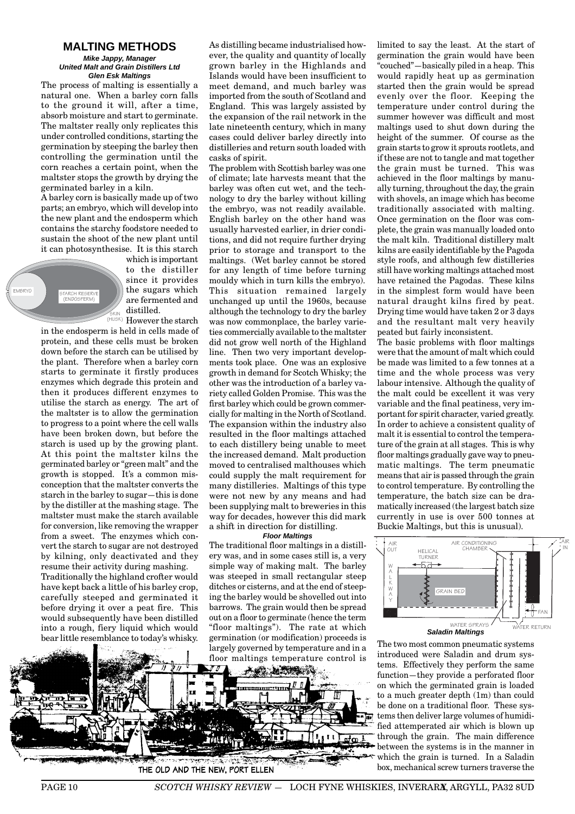## **MALTING METHODS**

#### **Mike Jappy, Manager United Malt and Grain Distillers Ltd Glen Esk Maltings**

The process of malting is essentially a natural one. When a barley corn falls to the ground it will, after a time, absorb moisture and start to germinate. The maltster really only replicates this under controlled conditions, starting the germination by steeping the barley then controlling the germination until the corn reaches a certain point, when the maltster stops the growth by drying the germinated barley in a kiln.

A barley corn is basically made up of two parts; an embryo, which will develop into the new plant and the endosperm which contains the starchy foodstore needed to sustain the shoot of the new plant until it can photosynthesise. It is this starch



which is important to the distiller since it provides the sugars which are fermented and distilled. However the starch

in the endosperm is held in cells made of protein, and these cells must be broken down before the starch can be utilised by the plant. Therefore when a barley corn starts to germinate it firstly produces enzymes which degrade this protein and then it produces different enzymes to utilise the starch as energy. The art of the maltster is to allow the germination to progress to a point where the cell walls have been broken down, but before the starch is used up by the growing plant. At this point the maltster kilns the germinated barley or "green malt" and the growth is stopped. It's a common misconception that the maltster converts the starch in the barley to sugar—this is done by the distiller at the mashing stage. The maltster must make the starch available for conversion, like removing the wrapper from a sweet. The enzymes which convert the starch to sugar are not destroyed by kilning, only deactivated and they resume their activity during mashing.

Traditionally the highland crofter would have kept back a little of his barley crop, carefully steeped and germinated it before drying it over a peat fire. This would subsequently have been distilled into a rough, fiery liquid which would bear little resemblance to today's whisky.

As distilling became industrialised however, the quality and quantity of locally grown barley in the Highlands and Islands would have been insufficient to meet demand, and much barley was imported from the south of Scotland and England. This was largely assisted by the expansion of the rail network in the late nineteenth century, which in many cases could deliver barley directly into distilleries and return south loaded with casks of spirit.

The problem with Scottish barley was one of climate; late harvests meant that the barley was often cut wet, and the technology to dry the barley without killing the embryo, was not readily available. English barley on the other hand was usually harvested earlier, in drier conditions, and did not require further drying prior to storage and transport to the maltings. (Wet barley cannot be stored for any length of time before turning mouldy which in turn kills the embryo). This situation remained largely unchanged up until the 1960s, because although the technology to dry the barley was now commonplace, the barley varieties commercially available to the maltster did not grow well north of the Highland line. Then two very important developments took place. One was an explosive growth in demand for Scotch Whisky; the other was the introduction of a barley variety called Golden Promise. This was the first barley which could be grown commercially for malting in the North of Scotland. The expansion within the industry also resulted in the floor maltings attached to each distillery being unable to meet the increased demand. Malt production moved to centralised malthouses which could supply the malt requirement for many distilleries. Maltings of this type were not new by any means and had been supplying malt to breweries in this way for decades, however this did mark a shift in direction for distilling.

#### **Floor Maltings**

The traditional floor maltings in a distillery was, and in some cases still is, a very simple way of making malt. The barley was steeped in small rectangular steep ditches or cisterns, and at the end of steeping the barley would be shovelled out into barrows. The grain would then be spread out on a floor to germinate (hence the term "floor maltings"). The rate at which germination (or modification) proceeds is largely governed by temperature and in a



limited to say the least. At the start of germination the grain would have been  $\frac{1}{2}$ couched"—basically piled in a heap. This would rapidly heat up as germination started then the grain would be spread evenly over the floor. Keeping the temperature under control during the summer however was difficult and most maltings used to shut down during the height of the summer. Of course as the grain starts to grow it sprouts rootlets, and if these are not to tangle and mat together the grain must be turned. This was achieved in the floor maltings by manually turning, throughout the day, the grain with shovels, an image which has become traditionally associated with malting. Once germination on the floor was complete, the grain was manually loaded onto the malt kiln. Traditional distillery malt kilns are easily identifiable by the Pagoda style roofs, and although few distilleries still have working maltings attached most have retained the Pagodas. These kilns in the simplest form would have been natural draught kilns fired by peat. Drying time would have taken 2 or 3 days and the resultant malt very heavily peated but fairly inconsistent.

The basic problems with floor maltings were that the amount of malt which could be made was limited to a few tonnes at a time and the whole process was very labour intensive. Although the quality of the malt could be excellent it was very variable and the final peatiness, very important for spirit character, varied greatly. In order to achieve a consistent quality of malt it is essential to control the temperature of the grain at all stages. This is why floor maltings gradually gave way to pneumatic maltings. The term pneumatic means that air is passed through the grain to control temperature. By controlling the temperature, the batch size can be dramatically increased (the largest batch size currently in use is over 500 tonnes at Buckie Maltings, but this is unusual).



The two most common pneumatic systems introduced were Saladin and drum systems. Effectively they perform the same function—they provide a perforated floor on which the germinated grain is loaded to a much greater depth (1m) than could be done on a traditional floor. These systems then deliver large volumes of humidified attemperated air which is blown up through the grain. The main difference between the systems is in the manner in which the grain is turned. In a Saladin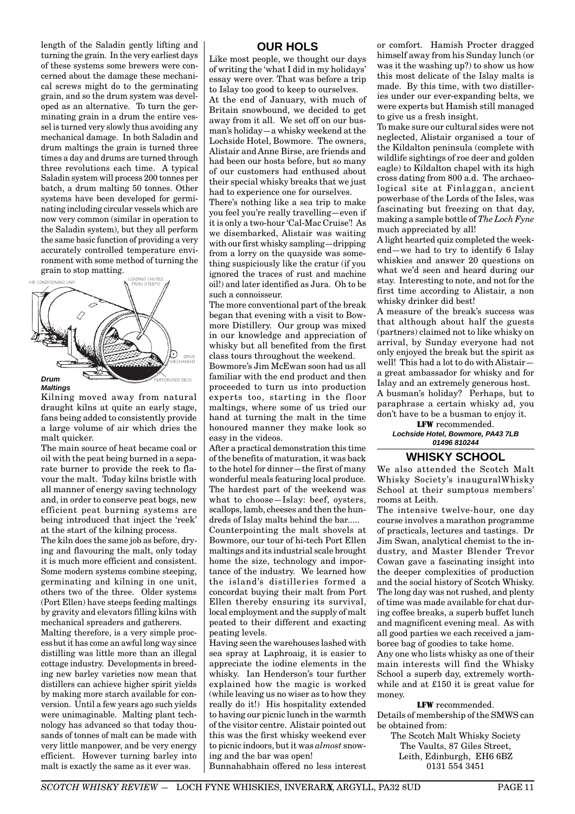length of the Saladin gently lifting and turning the grain. In the very earliest days of these systems some brewers were concerned about the damage these mechanical screws might do to the germinating grain, and so the drum system was developed as an alternative. To turn the germinating grain in a drum the entire vessel is turned very slowly thus avoiding any mechanical damage. In both Saladin and drum maltings the grain is turned three times a day and drums are turned through three revolutions each time. A typical Saladin system will process 200 tonnes per batch, a drum malting 50 tonnes. Other systems have been developed for germinating including circular vessels which are now very common (similar in operation to the Saladin system), but they all perform the same basic function of providing a very accurately controlled temperature environment with some method of turning the grain to stop matting.



#### **Maltings**

Kilning moved away from natural draught kilns at quite an early stage, fans being added to consistently provide a large volume of air which dries the malt quicker.

The main source of heat became coal or oil with the peat being burned in a separate burner to provide the reek to flavour the malt. Today kilns bristle with all manner of energy saving technology and, in order to conserve peat bogs, new efficient peat burning systems are being introduced that inject the 'reek' at the start of the kilning process.

The kiln does the same job as before, drying and flavouring the malt, only today it is much more efficient and consistent. Some modern systems combine steeping, germinating and kilning in one unit, others two of the three. Older systems (Port Ellen) have steeps feeding maltings by gravity and elevators filling kilns with mechanical spreaders and gatherers.

Malting therefore, is a very simple processbut it has come an awful long way since distilling was little more than an illegal cottage industry. Developments in breeding new barley varieties now mean that distillers can achieve higher spirit yields by making more starch available for conversion. Until a few years ago such yields were unimaginable. Malting plant technology has advanced so that today thousands of tonnes of malt can be made with very little manpower, and be very energy efficient. However turning barley into malt is exactly the same as it ever was.

## **OUR HOLS**

Like most people, we thought our days of writing the 'what I did in my holidays' essay were over. That was before a trip to Islay too good to keep to ourselves. At the end of January, with much of Britain snowbound, we decided to get away from it all. We set off on our busman's holiday—a whisky weekend at the Lochside Hotel, Bowmore. The owners, Alistair and Anne Birse, are friends and had been our hosts before, but so many of our customers had enthused about their special whisky breaks that we just had to experience one for ourselves.

There's nothing like a sea trip to make you feel you're really travelling—even if it is only a two-hour 'Cal-Mac Cruise'! As we disembarked, Alistair was waiting with our first whisky sampling—dripping from a lorry on the quayside was something suspiciously like the cratur (if you ignored the traces of rust and machine oil!) and later identified as Jura. Oh to be such a connoisseur.

The more conventional part of the break began that evening with a visit to Bowmore Distillery. Our group was mixed in our knowledge and appreciation of whisky but all benefited from the first class tours throughout the weekend.

Bowmore's Jim McEwan soon had us all familiar with the end product and then proceeded to turn us into production experts too, starting in the floor maltings, where some of us tried our hand at turning the malt in the time honoured manner they make look so easy in the videos.

After a practical demonstration this time of the benefits of maturation, it was back to the hotel for dinner—the first of many wonderful meals featuring local produce. The hardest part of the weekend was what to choose—Islay: beef, oysters, scallops, lamb, cheeses and then the hundreds of Islay malts behind the bar.....

Counterpointing the malt shovels at Bowmore, our tour of hi-tech Port Ellen maltings and its industrial scale brought home the size, technology and importance of the industry. We learned how the island's distilleries formed a concordat buying their malt from Port Ellen thereby ensuring its survival, local employment and the supply of malt peated to their different and exacting peating levels.

Having seen the warehouses lashed with sea spray at Laphroaig, it is easier to appreciate the iodine elements in the whisky. Ian Henderson's tour further explained how the magic is worked (while leaving us no wiser as to how they really do it!) His hospitality extended to having our picnic lunch in the warmth of the visitor centre. Alistair pointed out this was the first whisky weekend ever to picnic indoors, but it was *almost* snowing and the bar was open! Bunnahabhain offered no less interest

or comfort. Hamish Procter dragged himself away from his Sunday lunch (or was it the washing up?) to show us how this most delicate of the Islay malts is made. By this time, with two distilleries under our ever-expanding belts, we were experts but Hamish still managed to give us a fresh insight.

To make sure our cultural sides were not neglected, Alistair organised a tour of the Kildalton peninsula (complete with wildlife sightings of roe deer and golden eagle) to Kildalton chapel with its high cross dating from 800 a.d. The archaeological site at Finlaggan, ancient powerbase of the Lords of the Isles, was fascinating but freezing on that day, making a sample bottle of *The Loch Fyne* much appreciated by all!

A light hearted quiz completed the weekend—we had to try to identify 6 Islay whiskies and answer 20 questions on what we'd seen and heard during our stay. Interesting to note, and not for the first time according to Alistair, a non whisky drinker did best!

A measure of the break's success was that although about half the guests (partners) claimed not to like whisky on arrival, by Sunday everyone had not only enjoyed the break but the spirit as well! This had a lot to do with Alistair a great ambassador for whisky and for Islay and an extremely generous host. A busman's holiday? Perhaps, but to paraphrase a certain whisky ad, you don't have to be a busman to enjoy it.

LFW recommended. **Lochside Hotel, Bowmore, PA43 7LB 01496 810244**

### **WHISKY SCHOOL**

We also attended the Scotch Malt Whisky Society's inauguralWhisky School at their sumptous members' rooms at Leith.

The intensive twelve-hour, one day course involves a marathon programme of practicals, lectures and tastings. Dr Jim Swan, analytical chemist to the industry, and Master Blender Trevor Cowan gave a fascinating insight into the deeper complexities of production and the social history of Scotch Whisky. The long day was not rushed, and plenty of time was made available for chat during coffee breaks, a superb buffet lunch and magnificent evening meal. As with all good parties we each received a jamboree bag of goodies to take home.

Any one who lists whisky as one of their main interests will find the Whisky School a superb day, extremely worthwhile and at £150 it is great value for money.

LFW recommended. Details of membership of the SMWS can be obtained from:

The Scotch Malt Whisky Society The Vaults, 87 Giles Street, Leith, Edinburgh, EH6 6BZ 0131 554 3451